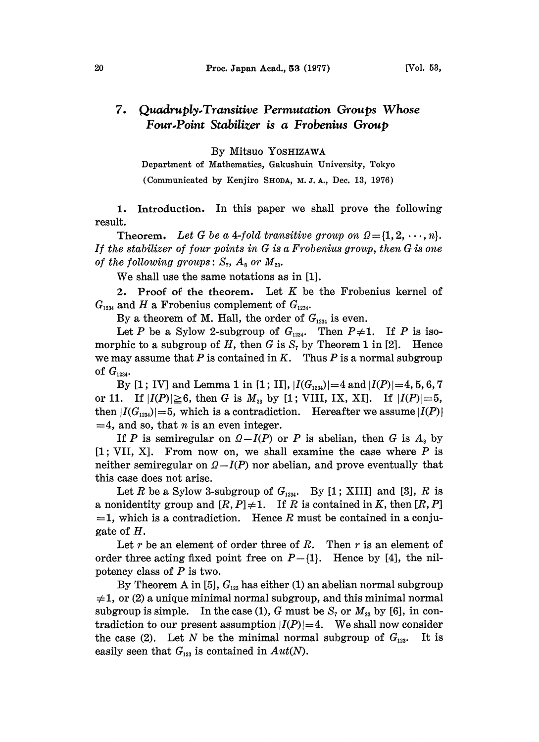## 7. Quadruply-Transitive Permutation Groups Whose Four.Point Stabilizer is a Frobenius Group

By Mitsuo YOSHIZAWA

Department of Mathematics, Gakushuin University, Tokyo (Communicated by Kenjiro SHODA, M. Z. A., Dec. 13, 1976)

1. Introduction. In this paper we shall prove the following result.

**Theorem.** Let G be a 4-fold transitive group on  $Q = \{1, 2, \dots, n\}.$ If the stabilizer of four points in G is a Frobenius group, then G is one of the following groups:  $S_7$ ,  $A_8$  or  $M_{23}$ .

We shall use the same notations as in [1].

2. Proof of the theorem. Let  $K$  be the Frobenius kernel of  $G_{1234}$  and H a Frobenius complement of  $G_{1234}$ .

By a theorem of M. Hall, the order of  $G_{1234}$  is even.

Let P be a Sylow 2-subgroup of  $G_{1234}$ . Then  $P\neq 1$ . If P is isomorphic to a subgroup of H, then G is  $S<sub>z</sub>$  by Theorem 1 in [2]. Hence we may assume that P is contained in K. Thus P is a normal subgroup of  $G_{1234}$ .

By [1; IV] and Lemma 1 in [1; II],  $|I(G_{1234})|=4$  and  $|I(P)|=4, 5, 6, 7$ or 11. If  $|I(P)| \ge 6$ , then G is  $M_{23}$  by [1; VIII, IX, XI]. If  $|I(P)| = 5$ , then  $|I(G_{1234})|=5$ , which is a contradiction. Hereafter we assume  $|I(P)|$  $=4$ , and so, that *n* is an even integer.

If P is semiregular on  $\Omega-I(P)$  or P is abelian, then G is  $A_s$  by  $[1; VII, X]$ . From now on, we shall examine the case where P is neither semiregular on  $\Omega-I(P)$  nor abelian, and prove eventually that this case does not arise.

Let R be a Sylow 3-subgroup of  $G_{1234}$ . By [1; XIII] and [3], R is a nonidentity group and  $[R, P] \neq 1$ . If R is contained in K, then  $[R, P]$  $=1$ , which is a contradiction. Hence R must be contained in a conjugate of H.

Let r be an element of order three of R. Then r is an element of order three acting fixed point free on  $P-{1}$ . Hence by [4], the nilpotency class of  $P$  is two.

By Theorem A in [5],  $G_{12}$  has either (1) an abelian normal subgroup  $\neq$ 1, or (2) a unique minimal normal subgroup, and this minimal normal subgroup is simple. In the case (1), G must be  $S_7$  or  $M_{23}$  by [6], in contradiction to our present assumption  $|I(P)|=4$ . We shall now consider the case (2). Let N be the minimal normal subgroup of  $G_{123}$ . It is easily seen that  $G_{123}$  is contained in  $Aut(N)$ .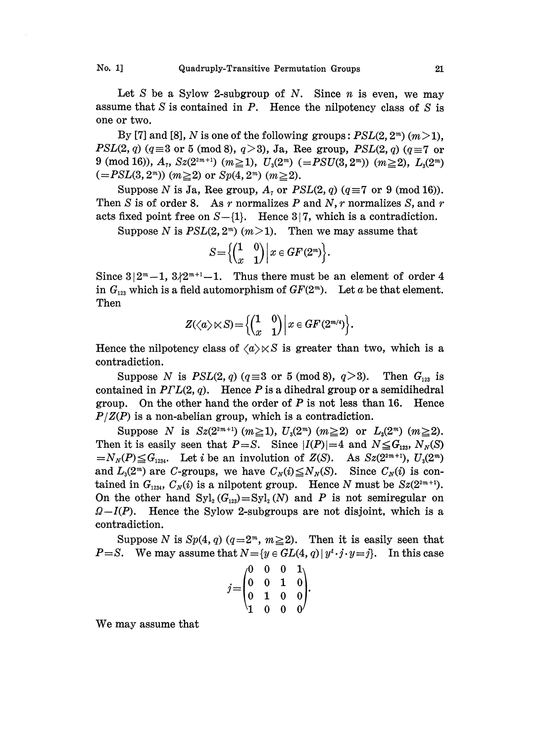Let S be a Sylow 2-subgroup of N. Since  $n$  is even, we may assume that  $S$  is contained in  $P$ . Hence the nilpotency class of  $S$  is one or two.

By [7] and [8], N is one of the following groups:  $PSL(2, 2<sup>m</sup>)$  (m > 1),  $PSL(2, q)$  ( $q \equiv 3$  or 5 (mod 8),  $q > 3$ ), Ja, Ree group,  $PSL(2, q)$  ( $q \equiv 7$  or 9 (mod 16)),  $A_7$ ,  $Sz(2^{2m+1})$  ( $m \ge 1$ ),  $U_3(2^m)$  ( $=PSU(3,2^m)$ ) ( $m \ge 2$ ),  $L_3(2^m)$  $(=PSL(3, 2<sup>m</sup>))(m \ge 2)$  or  $Sp(4, 2<sup>m</sup>)$   $(m \ge 2)$ .

Suppose N is Ja, Ree group,  $A_7$  or  $PSL(2, q)$  ( $q \equiv 7$  or 9 (mod 16)). Then S is of order 8. As r normalizes P and N, r normalizes S, and r acts fixed point free on  $S-{1}$ . Hence 3[7, which is a contradiction.

Suppose N is  $PSL(2, 2<sup>m</sup>)$  (*m*>1). Then we may assume that

$$
S\!=\!\Big\{\!\!\begin{pmatrix}1&0\\x&1\end{pmatrix}\Big|\,x\in GF(2^m)\Big\}.
$$

Since  $3|2^m-1$ ,  $3/2^{m+1}-1$ . Thus there must be an element of order 4 in  $G_{123}$  which is a field automorphism of  $GF(2<sup>m</sup>)$ . Let a be that element. Then

$$
Z(\langle a \rangle \times S) = \left\{ \begin{pmatrix} 1 & 0 \\ x & 1 \end{pmatrix} \middle| x \in GF(2^{m/4}) \right\}.
$$

Hence the nilpotency class of  $\langle a \rangle \times S$  is greater than two, which is a contradiction.

Suppose N is  $PSL(2, q)$  ( $q \equiv 3$  or 5 (mod 8),  $q > 3$ ). Then  $G_{123}$  is contained in  $PIL(2, q)$ . Hence P is a dihedral group or a semidihedral group. On the other hand the order of  $P$  is not less than 16. Hence  $P/Z(P)$  is a non-abelian group, which is a contradiction.

Suppose N is  $Sz(2^{2m+1})$   $(m \ge 1)$ ,  $U_3(2^m)$   $(m \ge 2)$  or  $L_3(2^m)$   $(m \ge 2)$ . Then it is easily seen that  $P=S$ . Since  $|I(P)|=4$  and  $N \leq G_{123}$ ,  $N_N(S)$  $=N_N(P)\leq G_{1234}$ . Let i be an involution of  $Z(S)$ . As  $Sz(2^{2m+1}), U_s(2^m)$ and  $L_3(2^m)$  are C-groups, we have  $C_N(i) \leq N_N(S)$ . Since  $C_N(i)$  is contained in  $G_{1234}$ ,  $C_N(i)$  is a nilpotent group. Hence N must be  $Sz(2^{2m+1})$ . On the other hand  $\text{Syl}_2(G_{12})=\text{Syl}_2(N)$  and P is not semiregular on  $Q-I(P)$ . Hence the Sylow 2-subgroups are not disjoint, which is a contradiction.

Suppose N is  $Sp(4, q)$   $(q=2<sup>m</sup>, m \geq 2)$ . Then it is easily seen that  $P = S$ . We may assume that  $N = \{y \in GL(4, q) | y^t \cdot j \cdot y = j\}$ . In this case

$$
j = \begin{pmatrix} 0 & 0 & 0 & 1 \\ 0 & 0 & 1 & 0 \\ 0 & 1 & 0 & 0 \\ 1 & 0 & 0 & 0 \end{pmatrix}.
$$

We may assume that